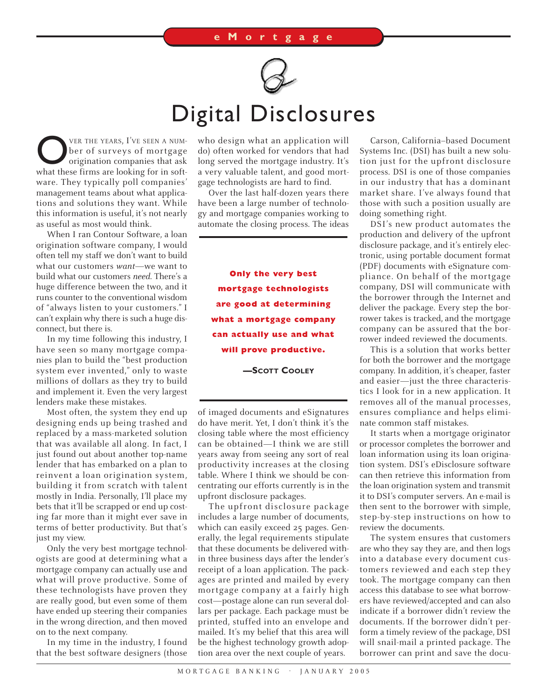

## Digital Disclosures

**OVER THE YEARS, I'VE SEEN A NUM-**<br>
ber of surveys of mortgage<br>
origination companies that ask<br>
what these firms are looking for in softber of surveys of mortgage what these firms are looking for in software. They typically poll companies' management teams about what applications and solutions they want. While this information is useful, it's not nearly as useful as most would think.

When I ran Contour Software, a loan origination software company, I would often tell my staff we don't want to build what our customers *want*—we want to build what our customers *need.* There's a huge difference between the two, and it runs counter to the conventional wisdom of "always listen to your customers." I can't explain why there is such a huge disconnect, but there is.

In my time following this industry, I have seen so many mortgage companies plan to build the "best production system ever invented," only to waste millions of dollars as they try to build and implement it. Even the very largest lenders make these mistakes.

Most often, the system they end up designing ends up being trashed and replaced by a mass-marketed solution that was available all along. In fact, I just found out about another top-name lender that has embarked on a plan to reinvent a loan origination system, building it from scratch with talent mostly in India. Personally, I'll place my bets that it'll be scrapped or end up costing far more than it might ever save in terms of better productivity. But that's just my view.

Only the very best mortgage technologists are good at determining what a mortgage company can actually use and what will prove productive. Some of these technologists have proven they are really good, but even some of them have ended up steering their companies in the wrong direction, and then moved on to the next company.

In my time in the industry, I found that the best software designers (those who design what an application will do) often worked for vendors that had long served the mortgage industry. It's a very valuable talent, and good mortgage technologists are hard to find.

Over the last half-dozen years there have been a large number of technology and mortgage companies working to automate the closing process. The ideas

**Only the very best mortgage technologists are good at determining what a mortgage company can actually use and what will prove productive.**

**—SCOTT COOLEY**

of imaged documents and eSignatures do have merit. Yet, I don't think it's the closing table where the most efficiency can be obtained—I think we are still years away from seeing any sort of real productivity increases at the closing table. Where I think we should be concentrating our efforts currently is in the upfront disclosure packages.

The upfront disclosure package includes a large number of documents, which can easily exceed 25 pages. Generally, the legal requirements stipulate that these documents be delivered within three business days after the lender's receipt of a loan application. The packages are printed and mailed by every mortgage company at a fairly high cost—postage alone can run several dollars per package. Each package must be printed, stuffed into an envelope and mailed. It's my belief that this area will be the highest technology growth adoption area over the next couple of years.

Carson, California–based Document Systems Inc. (DSI) has built a new solution just for the upfront disclosure process. DSI is one of those companies in our industry that has a dominant market share. I've always found that those with such a position usually are doing something right.

DSI's new product automates the production and delivery of the upfront disclosure package, and it's entirely electronic, using portable document format (PDF) documents with eSignature compliance. On behalf of the mortgage company, DSI will communicate with the borrower through the Internet and deliver the package. Every step the borrower takes is tracked, and the mortgage company can be assured that the borrower indeed reviewed the documents.

This is a solution that works better for both the borrower and the mortgage company. In addition, it's cheaper, faster and easier—just the three characteristics I look for in a new application. It removes all of the manual processes, ensures compliance and helps eliminate common staff mistakes.

It starts when a mortgage originator or processor completes the borrower and loan information using its loan origination system. DSI's eDisclosure software can then retrieve this information from the loan origination system and transmit it to DSI's computer servers. An e-mail is then sent to the borrower with simple, step-by-step instructions on how to review the documents.

The system ensures that customers are who they say they are, and then logs into a database every document customers reviewed and each step they took. The mortgage company can then access this database to see what borrowers have reviewed/accepted and can also indicate if a borrower didn't review the documents. If the borrower didn't perform a timely review of the package, DSI will snail-mail a printed package. The borrower can print and save the docu-